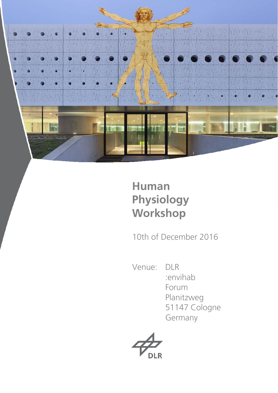

# **Human Physiology Workshop**

10th of December 2016

Venue: DLR

 :envihab Forum Planitzweg 51147 Cologne Germany

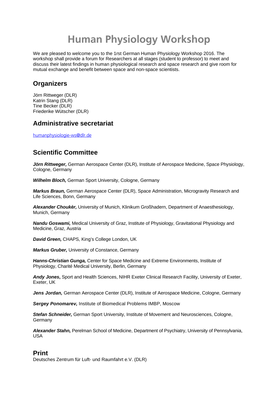# **Human Physiology Workshop**

We are pleased to welcome you to the 1rst German Human Physiology Workshop 2016. The workshop shall provide a forum for Researchers at all stages (student to professor) to meet and discuss their latest findings in human physiological research and space research and give room for mutual exchange and benefit between space and non-space scientists.

# **Organizers**

Jörn Rittweger (DLR) Katrin Stang (DLR) Tine Becker (DLR) Friederike Wütscher (DLR)

# **Administrative secretariat**

humanphysiologie-ws@dlr.de

# **Scientific Committee**

Jörn Rittweger, German Aerospace Center (DLR), Institute of Aerospace Medicine, Space Physiology, Cologne, Germany

*Wilhelm Bloch,* German Sport University, Cologne, Germany

*Markus Braun,* German Aerospace Center (DLR), Space Administration, Microgravity Research and Life Sciences, Bonn, Germany

*Alexander Choukèr,* University of Munich, Klinikum Großhadern, Department of Anaesthesiology, Munich, Germany

*Nandu Goswami,* Medical University of Graz, Institute of Physiology, Gravitational Physiology and Medicine, Graz, Austria

*David Green,* CHAPS, King's College London, UK

*Markus Gruber,* University of Constance, Germany

*Hanns-Christian Gunga,* Center for Space Medicine and Extreme Environments, Institute of Physiology, Charité Medical University, Berlin, Germany

*Andy Jones***,** Sport and Health Sciences, NIHR Exeter Clinical Research Facility, University of Exeter, Exeter, UK

*Jens Jordan,* German Aerospace Center (DLR), Institute of Aerospace Medicine, Cologne, Germany

*Sergey Ponomarev,* Institute of Biomedical Problems IMBP, Moscow

*Stefan Schneider,* German Sport University, Institute of Movement and Neurosciences, Cologne, **Germany** 

*Alexander Stahn,* Perelman School of Medicine, Department of Psychiatry, University of Pennsylvania, USA

# **Print**

Deutsches Zentrum für Luft- und Raumfahrt e.V. (DLR)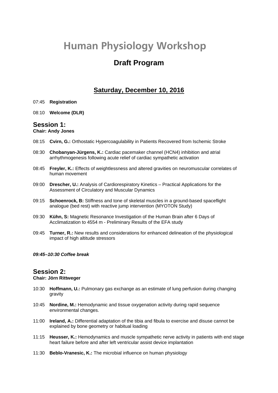# **Human Physiology Workshop**

# **Draft Program**

## **Saturday, December 10, 2016**

- 07:45 **Registration**
- 08:10 **Welcome (DLR)**

## **Session 1:**

### **Chair: Andy Jones**

- 08:15 **Cvirn, G.:** Orthostatic Hypercoagulability in Patients Recovered from Ischemic Stroke
- 08:30 **Chobanyan-Jürgens, K.:** Cardiac pacemaker channel (HCN4) inhibition and atrial arrhythmogenesis following acute relief of cardiac sympathetic activation
- 08:45 **Freyler, K.:** Effects of weightlessness and altered gravities on neuromuscular correlates of human movement
- 09:00 **Drescher, U.:** Analysis of Cardiorespiratory Kinetics Practical Applications for the Assessment of Circulatory and Muscular Dynamics
- 09:15 **Schoenrock, B:** Stiffness and tone of skeletal muscles in a ground-based spaceflight analogue (bed rest) with reactive jump intervention (MYOTON Study)
- 09:30 **Kühn, S:** Magnetic Resonance Investigation of the Human Brain after 6 Days of Acclimatization to 4554 m - Preliminary Results of the EFA study
- 09:45 **Turner, R.:** New results and considerations for enhanced delineation of the physiological impact of high altitude stressors

### *09:45–10:30 Coffee break*

## **Session 2:**

## **Chair: Jörn Rittweger**

- 10:30 **Hoffmann, U.:** Pulmonary gas exchange as an estimate of lung perfusion during changing gravity
- 10:45 **Nordine, M.:** Hemodynamic and tissue oxygenation activity during rapid sequence environmental changes.
- 11:00 **Ireland, A.:** Differential adaptation of the tibia and fibula to exercise and disuse cannot be explained by bone geometry or habitual loading
- 11:15 **Heusser, K.:** Hemodynamics and muscle sympathetic nerve activity in patients with end stage heart failure before and after left ventricular assist device implantation
- 11:30 **Beblo-Vranesic, K.:** The microbial influence on human physiology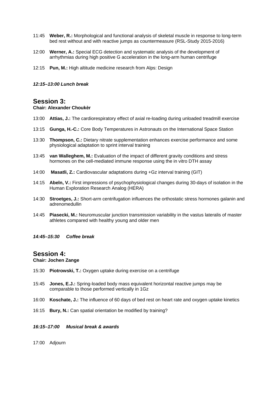- 11:45 **Weber, R.:** Morphological and functional analysis of skeletal muscle in response to long-term bed rest without and with reactive jumps as countermeasure (RSL-Study 2015-2016)
- 12:00 **Werner, A.:** Special ECG detection and systematic analysis of the development of arrhythmias during high positive G acceleration in the long-arm human centrifuge
- 12:15 **Pun, M.:** High altitude medicine research from Alps: Design
- *12:15–13:00 Lunch break*

## **Session 3:**

### **Chair: Alexander Choukèr**

- 13:00 **Attias, J.:** The cardiorespiratory effect of axial re-loading during unloaded treadmill exercise
- 13:15 **Gunga, H.-C.:** Core Body Temperatures in Astronauts on the International Space Station
- 13:30 **Thompson, C.:** Dietary nitrate supplementation enhances exercise performance and some physiological adaptation to sprint interval training
- 13:45 **van Walleghem, M.:** Evaluation of the impact of different gravity conditions and stress hormones on the cell-mediated immune response using the in vitro DTH assay
- 14:00 **Masatli, Z.:** Cardiovascular adaptations during +Gz interval training (GIT)
- 14:15 **Abeln, V.:** First impressions of psychophysiological changes during 30-days of isolation in the Human Exploration Research Analog (HERA)
- 14:30 **Stroetges, J.:** Short-arm centrifugation influences the orthostatic stress hormones galanin and adrenomedullin
- 14:45 **Piasecki, M.:** Neuromuscular junction transmission variability in the vastus lateralis of master athletes compared with healthy young and older men
- *14:45–15:30 Coffee break*

## **Session 4:**

### **Chair: Jochen Zange**

- 15:30 **Piotrowski, T.:** Oxygen uptake during exercise on a centrifuge
- 15:45 **Jones, E.J.:** Spring-loaded body mass equivalent horizontal reactive jumps may be comparable to those performed vertically in 1Gz
- 16:00 **Koschate, J.:** The influence of 60 days of bed rest on heart rate and oxygen uptake kinetics
- 16:15 **Bury, N.:** Can spatial orientation be modified by training?
- *16:15–17:00 Musical break & awards*
- 17:00 Adjourn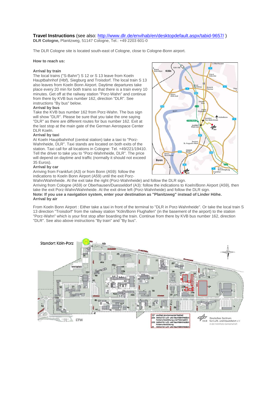#### **Travel Instructions** (see also: http://www.dlr.de/envihab/en/desktopdefault.aspx/tabid-9657/ ) **DLR Cologne,** Planitzweg, 51147 Cologne, Tel.: +49 2203 601-0

The DLR Cologne site is located south-east of Cologne, close to Cologne-Bonn airport.

#### **How to reach us:**

#### **Arrival by train**

The local trains ("S-Bahn") S 12 or S 13 leave from Koeln Hauptbahnhof (Hbf), Siegburg and Troisdorf. The local train S 13 also leaves from Koeln Bonn Airport. Daytime departures take place every 20 min for both trains so that there is a train every 10 minutes. Get off at the railway station "Porz-Wahn" and continue from there by KVB bus number 162, direction "DLR". See instructions "By bus" below.

#### **Arrival by bus**

Take the KVB bus number 162 from Porz-Wahn. The bus sign will show "DLR". Please be sure that you take the one saying "DLR" as there are different routes for bus number 162. Exit at the last stop at the main gate of the German Aerospace Center DLR Koeln.

#### **Arrival by taxi**

At Koeln Hauptbahnhof (central station) take a taxi to "Porz-Wahnheide, DLR". Taxi stands are located on both exits of the station. Taxi call for all locations in Cologne: Tel. +49/221/19410. Tell the driver to take you to "Porz-Wahnheide, DLR". The price will depend on daytime and traffic (normally it should not exceed 35 Euros).

#### **Arrival by car**

Arriving from Frankfurt (A3) or from Bonn (A59): follow the indications to Koeln Bonn Airport (A59) until the exit Porz-



Wahn/Wahnheide. At the exit take the right (Porz-Wahnheide) and follow the DLR sign. Arriving from Cologne (A59) or Oberhausen/Duesseldorf (A3): follow the indications to Koeln/Bonn Airport (A59), then take the exit Porz-Wahn/Wahnheide. At the exit drive left (Porz-Wahnheide) and follow the DLR sign. **Note: If you use a navigation system, enter your destination as "Planitzweg" instead of Linder Höhe. Arrival by air** 

From Koeln Bonn Airport : Either take a taxi in front of the terminal to "DLR in Porz-Wahnheide". Or take the local train S 13 direction "Troisdorf" from the railway station "Köln/Bonn Flughafen" (in the basement of the airport) to the station "Porz-Wahn" which is your first stop after boarding the train. Continue from there by KVB bus number 162, direction "DLR". See also above instructions "By train" and "By bus".